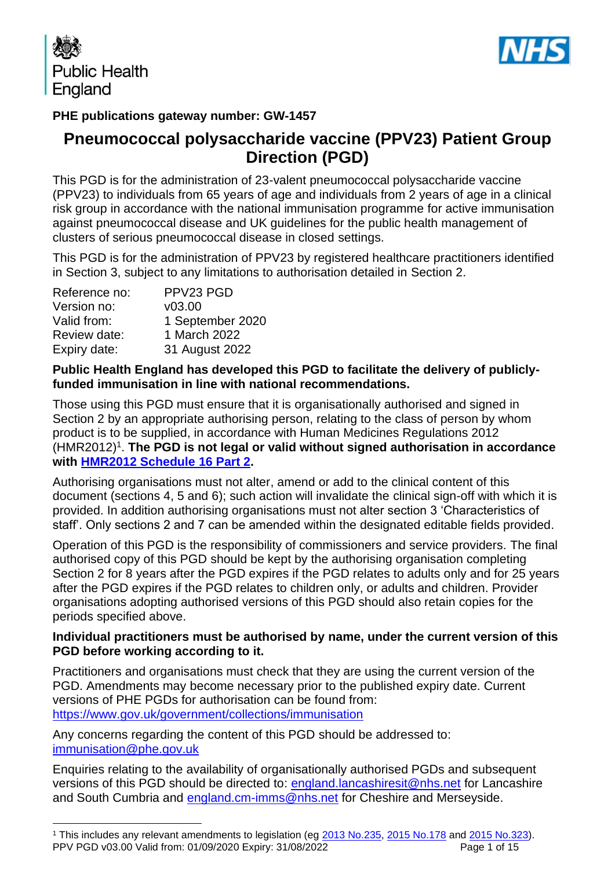



## **PHE publications gateway number: GW-1457**

# **Pneumococcal polysaccharide vaccine (PPV23) Patient Group Direction (PGD)**

This PGD is for the administration of 23-valent pneumococcal polysaccharide vaccine (PPV23) to individuals from 65 years of age and individuals from 2 years of age in a clinical risk group in accordance with the national immunisation programme for active immunisation against pneumococcal disease and UK guidelines for the public health management of clusters of serious pneumococcal disease in closed settings.

This PGD is for the administration of PPV23 by registered healthcare practitioners identified in Section 3, subject to any limitations to authorisation detailed in Section 2.

| Reference no: | PPV23 PGD        |
|---------------|------------------|
| Version no:   | V03.00           |
| Valid from:   | 1 September 2020 |
| Review date:  | 1 March 2022     |
| Expiry date:  | 31 August 2022   |

#### **Public Health England has developed this PGD to facilitate the delivery of publiclyfunded immunisation in line with national recommendations.**

Those using this PGD must ensure that it is organisationally authorised and signed in Section 2 by an appropriate authorising person, relating to the class of person by whom product is to be supplied, in accordance with Human Medicines Regulations 2012 (HMR2012)<sup>1</sup>. The PGD is not legal or valid without signed authorisation in accordance **with [HMR2012 Schedule](http://www.legislation.gov.uk/uksi/2012/1916/schedule/16/part/2/made) 16 Part 2.** 

Authorising organisations must not alter, amend or add to the clinical content of this document (sections 4, 5 and 6); such action will invalidate the clinical sign-off with which it is provided. In addition authorising organisations must not alter section 3 'Characteristics of staff'. Only sections 2 and 7 can be amended within the designated editable fields provided.

Operation of this PGD is the responsibility of commissioners and service providers. The final authorised copy of this PGD should be kept by the authorising organisation completing Section 2 for 8 years after the PGD expires if the PGD relates to adults only and for 25 years after the PGD expires if the PGD relates to children only, or adults and children. Provider organisations adopting authorised versions of this PGD should also retain copies for the periods specified above.

## **Individual practitioners must be authorised by name, under the current version of this PGD before working according to it.**

Practitioners and organisations must check that they are using the current version of the PGD. Amendments may become necessary prior to the published expiry date. Current versions of PHE PGDs for authorisation can be found from: <https://www.gov.uk/government/collections/immunisation>

Any concerns regarding the content of this PGD should be addressed to: [immunisation@phe.gov.uk](mailto:Immunisation@phe.gov.uk)

Enquiries relating to the availability of organisationally authorised PGDs and subsequent versions of this PGD should be directed to: [england.lancashiresit@nhs.net](mailto:england.lancashiresit@nhs.net) for Lancashire and South Cumbria and [england.cm-imms@nhs.net](mailto:england.cm-imms@nhs.net) for Cheshire and Merseyside.

PPV PGD v03.00 Valid from: 01/09/2020 Expiry: 31/08/2022 Page 1 of 15 <sup>1</sup> This includes any relevant amendments to legislation (eg [2013 No.235,](http://www.legislation.gov.uk/uksi/2013/235/contents/made) [2015 No.178](http://www.legislation.gov.uk/nisr/2015/178/contents/made) and [2015 No.323\)](http://www.legislation.gov.uk/uksi/2015/323/contents/made).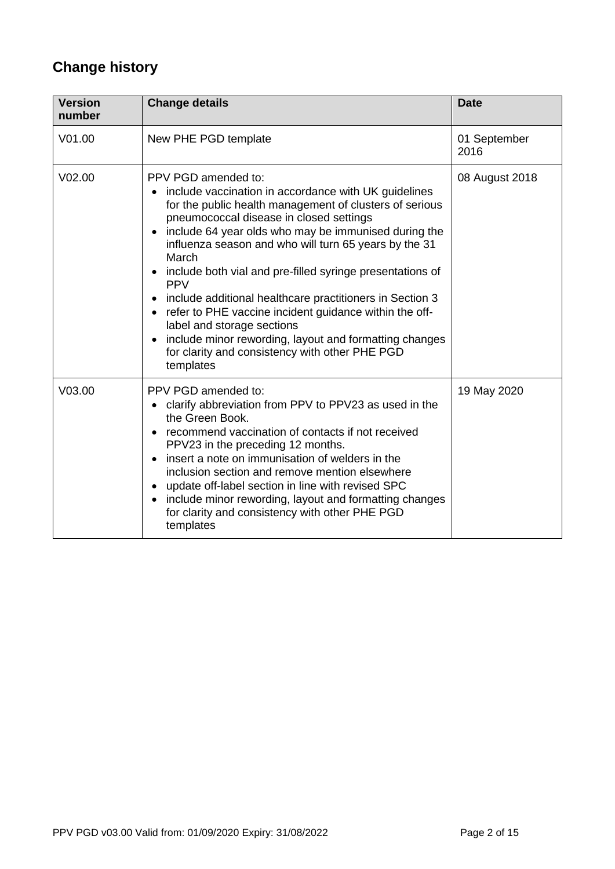# **Change history**

| <b>Version</b><br>number | <b>Change details</b>                                                                                                                                                                                                                                                                                                                                                                                                                                                                                                                                                                                                                                               | <b>Date</b>          |
|--------------------------|---------------------------------------------------------------------------------------------------------------------------------------------------------------------------------------------------------------------------------------------------------------------------------------------------------------------------------------------------------------------------------------------------------------------------------------------------------------------------------------------------------------------------------------------------------------------------------------------------------------------------------------------------------------------|----------------------|
| V01.00                   | New PHE PGD template                                                                                                                                                                                                                                                                                                                                                                                                                                                                                                                                                                                                                                                | 01 September<br>2016 |
| V <sub>02.00</sub>       | PPV PGD amended to:<br>include vaccination in accordance with UK guidelines<br>for the public health management of clusters of serious<br>pneumococcal disease in closed settings<br>include 64 year olds who may be immunised during the<br>influenza season and who will turn 65 years by the 31<br>March<br>include both vial and pre-filled syringe presentations of<br><b>PPV</b><br>include additional healthcare practitioners in Section 3<br>refer to PHE vaccine incident guidance within the off-<br>label and storage sections<br>include minor rewording, layout and formatting changes<br>for clarity and consistency with other PHE PGD<br>templates | 08 August 2018       |
| V03.00                   | PPV PGD amended to:<br>clarify abbreviation from PPV to PPV23 as used in the<br>the Green Book.<br>recommend vaccination of contacts if not received<br>PPV23 in the preceding 12 months.<br>insert a note on immunisation of welders in the<br>inclusion section and remove mention elsewhere<br>update off-label section in line with revised SPC<br>include minor rewording, layout and formatting changes<br>for clarity and consistency with other PHE PGD<br>templates                                                                                                                                                                                        | 19 May 2020          |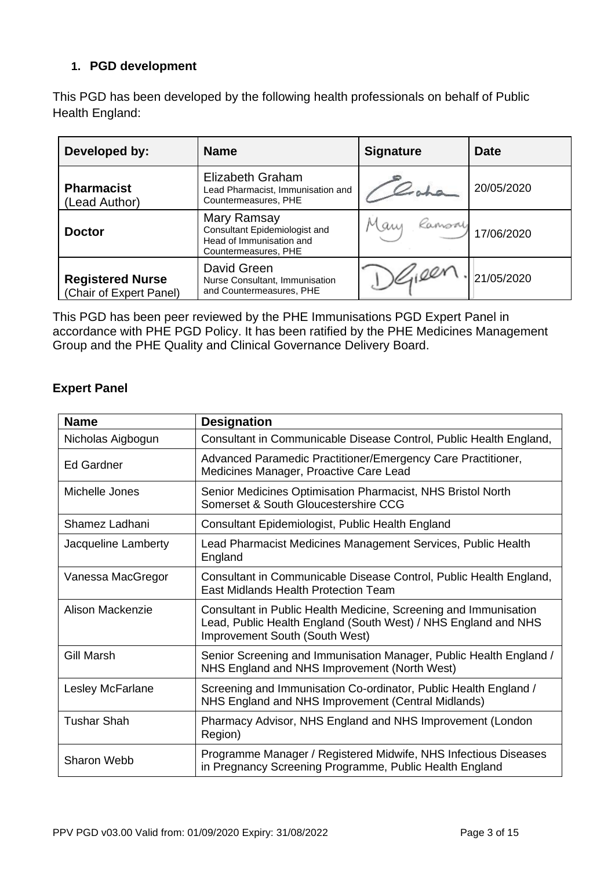## **1. PGD development**

This PGD has been developed by the following health professionals on behalf of Public Health England:

| Developed by:                                      | <b>Name</b>                                                                                      | <b>Signature</b> | <b>Date</b> |
|----------------------------------------------------|--------------------------------------------------------------------------------------------------|------------------|-------------|
| <b>Pharmacist</b><br>(Lead Author)                 | Elizabeth Graham<br>Lead Pharmacist, Immunisation and<br>Countermeasures, PHE                    |                  | 20/05/2020  |
| <b>Doctor</b>                                      | Mary Ramsay<br>Consultant Epidemiologist and<br>Head of Immunisation and<br>Countermeasures, PHE | Ramson<br>Many   | 17/06/2020  |
| <b>Registered Nurse</b><br>(Chair of Expert Panel) | David Green<br>Nurse Consultant, Immunisation<br>and Countermeasures, PHE                        |                  | 21/05/2020  |

This PGD has been peer reviewed by the PHE Immunisations PGD Expert Panel in accordance with PHE PGD Policy. It has been ratified by the PHE Medicines Management Group and the PHE Quality and Clinical Governance Delivery Board.

## **Expert Panel**

| <b>Name</b>         | <b>Designation</b>                                                                                                                                                          |  |
|---------------------|-----------------------------------------------------------------------------------------------------------------------------------------------------------------------------|--|
| Nicholas Aigbogun   | Consultant in Communicable Disease Control, Public Health England,                                                                                                          |  |
| <b>Ed Gardner</b>   | Advanced Paramedic Practitioner/Emergency Care Practitioner,<br>Medicines Manager, Proactive Care Lead                                                                      |  |
| Michelle Jones      | Senior Medicines Optimisation Pharmacist, NHS Bristol North<br>Somerset & South Gloucestershire CCG                                                                         |  |
| Shamez Ladhani      | Consultant Epidemiologist, Public Health England                                                                                                                            |  |
| Jacqueline Lamberty | Lead Pharmacist Medicines Management Services, Public Health<br>England                                                                                                     |  |
| Vanessa MacGregor   | Consultant in Communicable Disease Control, Public Health England,<br><b>East Midlands Health Protection Team</b>                                                           |  |
| Alison Mackenzie    | Consultant in Public Health Medicine, Screening and Immunisation<br>Lead, Public Health England (South West) / NHS England and NHS<br><b>Improvement South (South West)</b> |  |
| Gill Marsh          | Senior Screening and Immunisation Manager, Public Health England /<br>NHS England and NHS Improvement (North West)                                                          |  |
| Lesley McFarlane    | Screening and Immunisation Co-ordinator, Public Health England /<br>NHS England and NHS Improvement (Central Midlands)                                                      |  |
| <b>Tushar Shah</b>  | Pharmacy Advisor, NHS England and NHS Improvement (London<br>Region)                                                                                                        |  |
| <b>Sharon Webb</b>  | Programme Manager / Registered Midwife, NHS Infectious Diseases<br>in Pregnancy Screening Programme, Public Health England                                                  |  |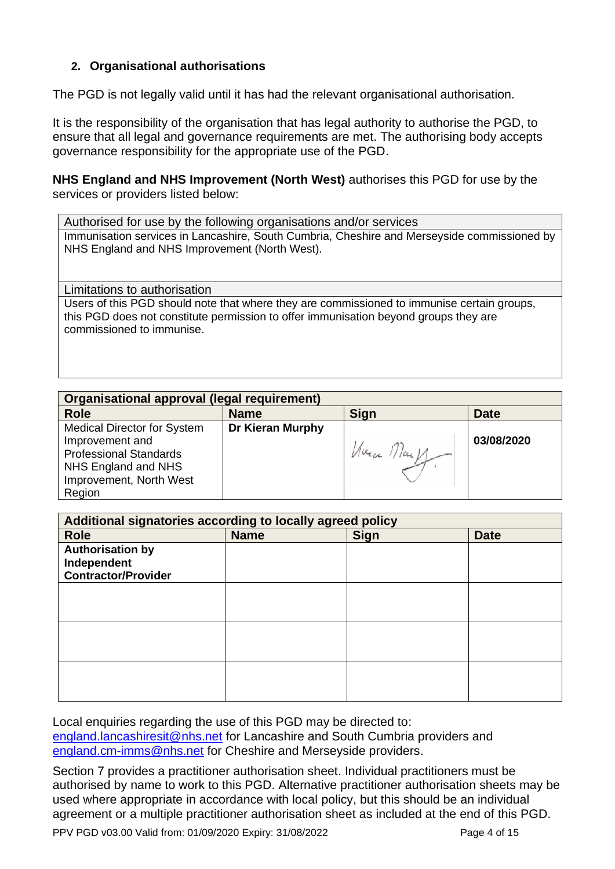#### **2. Organisational authorisations**

The PGD is not legally valid until it has had the relevant organisational authorisation.

It is the responsibility of the organisation that has legal authority to authorise the PGD, to ensure that all legal and governance requirements are met. The authorising body accepts governance responsibility for the appropriate use of the PGD.

#### **NHS England and NHS Improvement (North West)** authorises this PGD for use by the services or providers listed below:

Authorised for use by the following organisations and/or services Immunisation services in Lancashire, South Cumbria, Cheshire and Merseyside commissioned by NHS England and NHS Improvement (North West).

<span id="page-3-0"></span>Limitations to authorisation Users of this PGD should note that where they are commissioned to immunise certain groups, this PGD does not constitute permission to offer immunisation beyond groups they are commissioned to immunise.

| Organisational approval (legal requirement) |                         |                |             |
|---------------------------------------------|-------------------------|----------------|-------------|
| <b>Role</b>                                 | <b>Name</b>             | <b>Sign</b>    | <b>Date</b> |
| <b>Medical Director for System</b>          | <b>Dr Kieran Murphy</b> |                |             |
| Improvement and                             |                         |                | 03/08/2020  |
| <b>Professional Standards</b>               |                         | $M$ uen ///an/ |             |
| NHS England and NHS                         |                         |                |             |
| Improvement, North West                     |                         |                |             |
| Region                                      |                         |                |             |

| Additional signatories according to locally agreed policy |             |             |             |
|-----------------------------------------------------------|-------------|-------------|-------------|
| <b>Role</b>                                               | <b>Name</b> | <b>Sign</b> | <b>Date</b> |
| <b>Authorisation by</b>                                   |             |             |             |
| Independent                                               |             |             |             |
| <b>Contractor/Provider</b>                                |             |             |             |
|                                                           |             |             |             |
|                                                           |             |             |             |
|                                                           |             |             |             |
|                                                           |             |             |             |
|                                                           |             |             |             |
|                                                           |             |             |             |
|                                                           |             |             |             |
|                                                           |             |             |             |
|                                                           |             |             |             |

Local enquiries regarding the use of this PGD may be directed to: [england.lancashiresit@nhs.net](mailto:england.lancashiresit@nhs.net) for Lancashire and South Cumbria providers and [england.cm-imms@nhs.net](mailto:england.cm-imms@nhs.net) for Cheshire and Merseyside providers.

Section 7 provides a practitioner authorisation sheet. Individual practitioners must be authorised by name to work to this PGD. Alternative practitioner authorisation sheets may be used where appropriate in accordance with local policy, but this should be an individual agreement or a multiple practitioner authorisation sheet as included at the end of this PGD.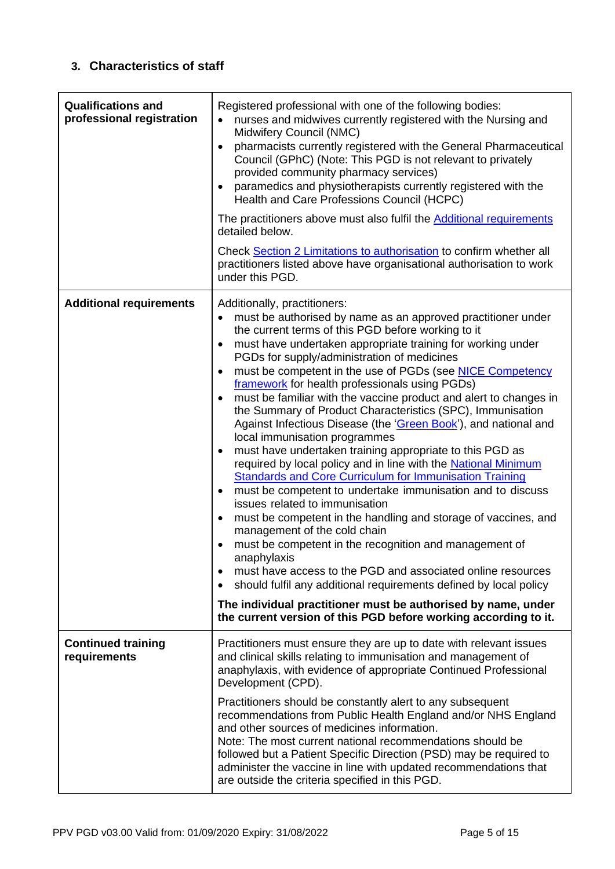## **3. Characteristics of staff**

<span id="page-4-0"></span>

| <b>Qualifications and</b><br>professional registration | Registered professional with one of the following bodies:<br>nurses and midwives currently registered with the Nursing and<br>Midwifery Council (NMC)<br>pharmacists currently registered with the General Pharmaceutical<br>$\bullet$<br>Council (GPhC) (Note: This PGD is not relevant to privately<br>provided community pharmacy services)<br>paramedics and physiotherapists currently registered with the<br>Health and Care Professions Council (HCPC)<br>The practitioners above must also fulfil the <b>Additional requirements</b><br>detailed below.<br>Check Section 2 Limitations to authorisation to confirm whether all<br>practitioners listed above have organisational authorisation to work<br>under this PGD.                                                                                                                                                                                                                                                                                                                                                                                                                                                                                                                                                                                                                                                                                                          |
|--------------------------------------------------------|--------------------------------------------------------------------------------------------------------------------------------------------------------------------------------------------------------------------------------------------------------------------------------------------------------------------------------------------------------------------------------------------------------------------------------------------------------------------------------------------------------------------------------------------------------------------------------------------------------------------------------------------------------------------------------------------------------------------------------------------------------------------------------------------------------------------------------------------------------------------------------------------------------------------------------------------------------------------------------------------------------------------------------------------------------------------------------------------------------------------------------------------------------------------------------------------------------------------------------------------------------------------------------------------------------------------------------------------------------------------------------------------------------------------------------------------|
| <b>Additional requirements</b>                         | Additionally, practitioners:<br>must be authorised by name as an approved practitioner under<br>the current terms of this PGD before working to it<br>must have undertaken appropriate training for working under<br>$\bullet$<br>PGDs for supply/administration of medicines<br>must be competent in the use of PGDs (see NICE Competency<br>framework for health professionals using PGDs)<br>must be familiar with the vaccine product and alert to changes in<br>the Summary of Product Characteristics (SPC), Immunisation<br>Against Infectious Disease (the 'Green Book'), and national and<br>local immunisation programmes<br>must have undertaken training appropriate to this PGD as<br>$\bullet$<br>required by local policy and in line with the National Minimum<br><b>Standards and Core Curriculum for Immunisation Training</b><br>must be competent to undertake immunisation and to discuss<br>$\bullet$<br>issues related to immunisation<br>must be competent in the handling and storage of vaccines, and<br>$\bullet$<br>management of the cold chain<br>must be competent in the recognition and management of<br>anaphylaxis<br>must have access to the PGD and associated online resources<br>should fulfil any additional requirements defined by local policy<br>$\bullet$<br>The individual practitioner must be authorised by name, under<br>the current version of this PGD before working according to it. |
| <b>Continued training</b><br>requirements              | Practitioners must ensure they are up to date with relevant issues<br>and clinical skills relating to immunisation and management of<br>anaphylaxis, with evidence of appropriate Continued Professional<br>Development (CPD).<br>Practitioners should be constantly alert to any subsequent<br>recommendations from Public Health England and/or NHS England<br>and other sources of medicines information.<br>Note: The most current national recommendations should be<br>followed but a Patient Specific Direction (PSD) may be required to<br>administer the vaccine in line with updated recommendations that<br>are outside the criteria specified in this PGD.                                                                                                                                                                                                                                                                                                                                                                                                                                                                                                                                                                                                                                                                                                                                                                     |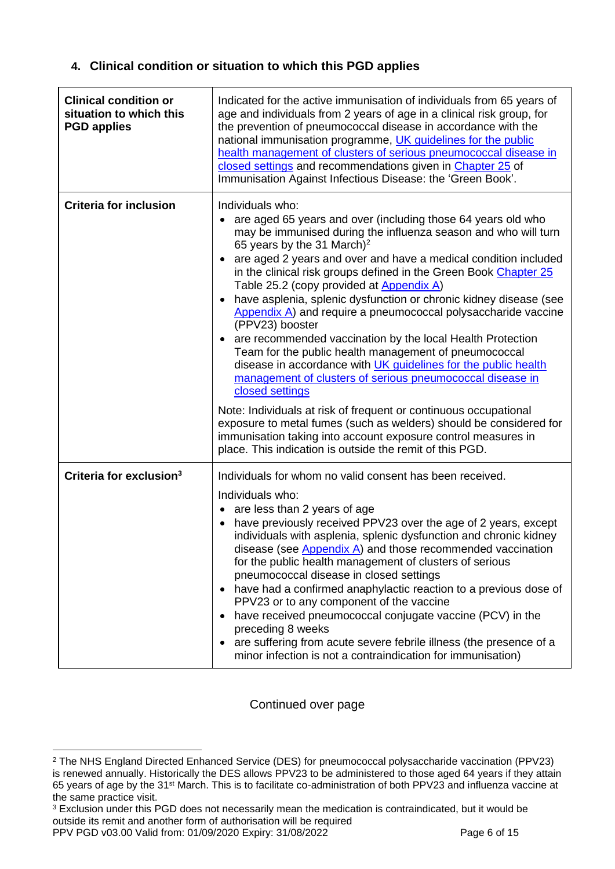## **4. Clinical condition or situation to which this PGD applies**

| <b>Clinical condition or</b><br>situation to which this<br><b>PGD applies</b> | Indicated for the active immunisation of individuals from 65 years of<br>age and individuals from 2 years of age in a clinical risk group, for<br>the prevention of pneumococcal disease in accordance with the<br>national immunisation programme, UK guidelines for the public<br>health management of clusters of serious pneumococcal disease in<br>closed settings and recommendations given in Chapter 25 of<br>Immunisation Against Infectious Disease: the 'Green Book'.                                                                                                                                                                                                                                                                                                                                                                                                                                                                                                                                                                                                         |
|-------------------------------------------------------------------------------|------------------------------------------------------------------------------------------------------------------------------------------------------------------------------------------------------------------------------------------------------------------------------------------------------------------------------------------------------------------------------------------------------------------------------------------------------------------------------------------------------------------------------------------------------------------------------------------------------------------------------------------------------------------------------------------------------------------------------------------------------------------------------------------------------------------------------------------------------------------------------------------------------------------------------------------------------------------------------------------------------------------------------------------------------------------------------------------|
| <b>Criteria for inclusion</b>                                                 | Individuals who:<br>are aged 65 years and over (including those 64 years old who<br>may be immunised during the influenza season and who will turn<br>65 years by the 31 March) <sup>2</sup><br>are aged 2 years and over and have a medical condition included<br>in the clinical risk groups defined in the Green Book Chapter 25<br>Table 25.2 (copy provided at Appendix A)<br>have asplenia, splenic dysfunction or chronic kidney disease (see<br>Appendix A) and require a pneumococcal polysaccharide vaccine<br>(PPV23) booster<br>are recommended vaccination by the local Health Protection<br>Team for the public health management of pneumococcal<br>disease in accordance with UK guidelines for the public health<br>management of clusters of serious pneumococcal disease in<br>closed settings<br>Note: Individuals at risk of frequent or continuous occupational<br>exposure to metal fumes (such as welders) should be considered for<br>immunisation taking into account exposure control measures in<br>place. This indication is outside the remit of this PGD. |
|                                                                               |                                                                                                                                                                                                                                                                                                                                                                                                                                                                                                                                                                                                                                                                                                                                                                                                                                                                                                                                                                                                                                                                                          |
| Criteria for exclusion <sup>3</sup>                                           | Individuals for whom no valid consent has been received.<br>Individuals who:<br>are less than 2 years of age<br>$\bullet$<br>have previously received PPV23 over the age of 2 years, except<br>individuals with asplenia, splenic dysfunction and chronic kidney<br>disease (see $\Delta$ ppendix $\Delta$ ) and those recommended vaccination<br>for the public health management of clusters of serious<br>pneumococcal disease in closed settings<br>have had a confirmed anaphylactic reaction to a previous dose of<br>PPV23 or to any component of the vaccine<br>have received pneumococcal conjugate vaccine (PCV) in the<br>preceding 8 weeks<br>are suffering from acute severe febrile illness (the presence of a<br>minor infection is not a contraindication for immunisation)                                                                                                                                                                                                                                                                                              |

Continued over page

<sup>3</sup> Exclusion under this PGD does not necessarily mean the medication is contraindicated, but it would be outside its remit and another form of authorisation will be required

PPV PGD v03.00 Valid from: 01/09/2020 Expiry: 31/08/2022 Page 6 of 15

<sup>2</sup> The NHS England Directed Enhanced Service (DES) for pneumococcal polysaccharide vaccination (PPV23) is renewed annually. Historically the DES allows PPV23 to be administered to those aged 64 years if they attain 65 years of age by the 31st March. This is to facilitate co-administration of both PPV23 and influenza vaccine at the same practice visit.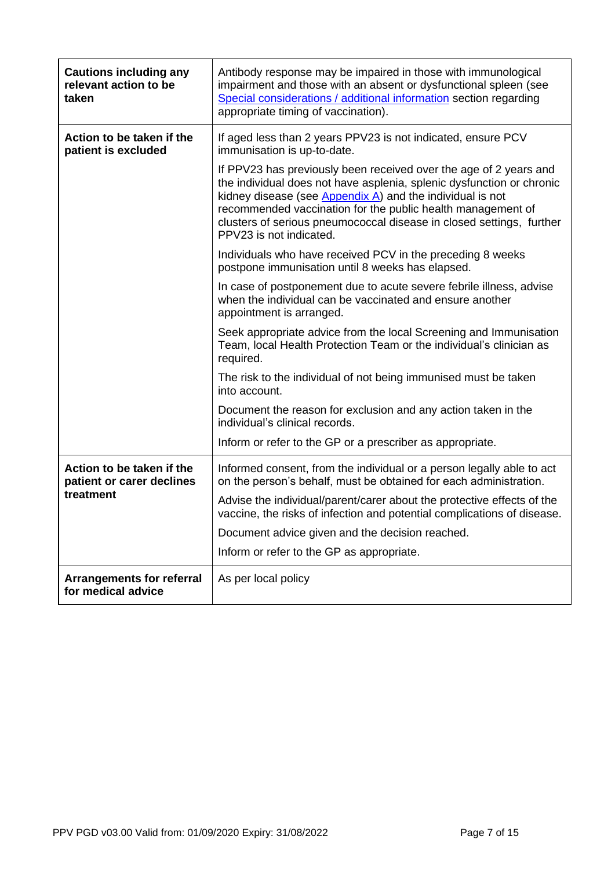| <b>Cautions including any</b><br>relevant action to be<br>taken | Antibody response may be impaired in those with immunological<br>impairment and those with an absent or dysfunctional spleen (see<br>Special considerations / additional information section regarding<br>appropriate timing of vaccination).                                                                                                                                |
|-----------------------------------------------------------------|------------------------------------------------------------------------------------------------------------------------------------------------------------------------------------------------------------------------------------------------------------------------------------------------------------------------------------------------------------------------------|
| Action to be taken if the<br>patient is excluded                | If aged less than 2 years PPV23 is not indicated, ensure PCV<br>immunisation is up-to-date.                                                                                                                                                                                                                                                                                  |
|                                                                 | If PPV23 has previously been received over the age of 2 years and<br>the individual does not have asplenia, splenic dysfunction or chronic<br>kidney disease (see $Appendix A$ ) and the individual is not<br>recommended vaccination for the public health management of<br>clusters of serious pneumococcal disease in closed settings, further<br>PPV23 is not indicated. |
|                                                                 | Individuals who have received PCV in the preceding 8 weeks<br>postpone immunisation until 8 weeks has elapsed.                                                                                                                                                                                                                                                               |
|                                                                 | In case of postponement due to acute severe febrile illness, advise<br>when the individual can be vaccinated and ensure another<br>appointment is arranged.                                                                                                                                                                                                                  |
|                                                                 | Seek appropriate advice from the local Screening and Immunisation<br>Team, local Health Protection Team or the individual's clinician as<br>required.                                                                                                                                                                                                                        |
|                                                                 | The risk to the individual of not being immunised must be taken<br>into account.                                                                                                                                                                                                                                                                                             |
|                                                                 | Document the reason for exclusion and any action taken in the<br>individual's clinical records.                                                                                                                                                                                                                                                                              |
|                                                                 | Inform or refer to the GP or a prescriber as appropriate.                                                                                                                                                                                                                                                                                                                    |
| Action to be taken if the<br>patient or carer declines          | Informed consent, from the individual or a person legally able to act<br>on the person's behalf, must be obtained for each administration.                                                                                                                                                                                                                                   |
| treatment                                                       | Advise the individual/parent/carer about the protective effects of the<br>vaccine, the risks of infection and potential complications of disease.                                                                                                                                                                                                                            |
|                                                                 | Document advice given and the decision reached.                                                                                                                                                                                                                                                                                                                              |
|                                                                 | Inform or refer to the GP as appropriate.                                                                                                                                                                                                                                                                                                                                    |
| <b>Arrangements for referral</b><br>for medical advice          | As per local policy                                                                                                                                                                                                                                                                                                                                                          |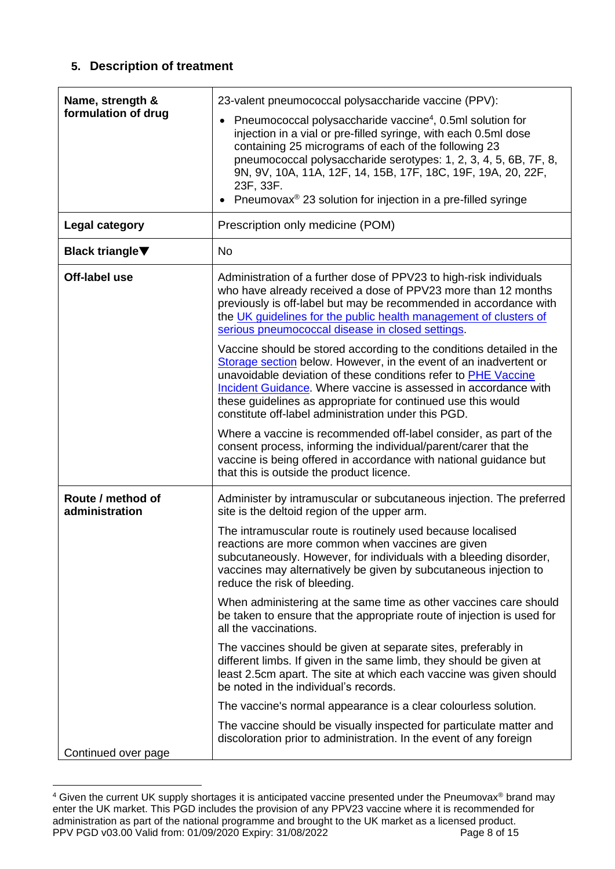## **5. Description of treatment**

| Name, strength &<br>formulation of drug | 23-valent pneumococcal polysaccharide vaccine (PPV):<br>Pneumococcal polysaccharide vaccine <sup>4</sup> , 0.5ml solution for<br>injection in a vial or pre-filled syringe, with each 0.5ml dose                                                                                                                                                                                                      |
|-----------------------------------------|-------------------------------------------------------------------------------------------------------------------------------------------------------------------------------------------------------------------------------------------------------------------------------------------------------------------------------------------------------------------------------------------------------|
|                                         | containing 25 micrograms of each of the following 23<br>pneumococcal polysaccharide serotypes: 1, 2, 3, 4, 5, 6B, 7F, 8,<br>9N, 9V, 10A, 11A, 12F, 14, 15B, 17F, 18C, 19F, 19A, 20, 22F,<br>23F, 33F.                                                                                                                                                                                                 |
|                                         | Pneumovax <sup>®</sup> 23 solution for injection in a pre-filled syringe                                                                                                                                                                                                                                                                                                                              |
| Legal category                          | Prescription only medicine (POM)                                                                                                                                                                                                                                                                                                                                                                      |
| <b>Black triangle</b> ▼                 | <b>No</b>                                                                                                                                                                                                                                                                                                                                                                                             |
| Off-label use                           | Administration of a further dose of PPV23 to high-risk individuals<br>who have already received a dose of PPV23 more than 12 months<br>previously is off-label but may be recommended in accordance with<br>the UK guidelines for the public health management of clusters of<br>serious pneumococcal disease in closed settings.                                                                     |
|                                         | Vaccine should be stored according to the conditions detailed in the<br>Storage section below. However, in the event of an inadvertent or<br>unavoidable deviation of these conditions refer to PHE Vaccine<br>Incident Guidance. Where vaccine is assessed in accordance with<br>these guidelines as appropriate for continued use this would<br>constitute off-label administration under this PGD. |
|                                         | Where a vaccine is recommended off-label consider, as part of the<br>consent process, informing the individual/parent/carer that the<br>vaccine is being offered in accordance with national guidance but<br>that this is outside the product licence.                                                                                                                                                |
| Route / method of<br>administration     | Administer by intramuscular or subcutaneous injection. The preferred<br>site is the deltoid region of the upper arm.                                                                                                                                                                                                                                                                                  |
|                                         | The intramuscular route is routinely used because localised<br>reactions are more common when vaccines are given<br>subcutaneously. However, for individuals with a bleeding disorder,<br>vaccines may alternatively be given by subcutaneous injection to<br>reduce the risk of bleeding.                                                                                                            |
|                                         | When administering at the same time as other vaccines care should<br>be taken to ensure that the appropriate route of injection is used for<br>all the vaccinations.                                                                                                                                                                                                                                  |
|                                         | The vaccines should be given at separate sites, preferably in<br>different limbs. If given in the same limb, they should be given at<br>least 2.5cm apart. The site at which each vaccine was given should<br>be noted in the individual's records.                                                                                                                                                   |
|                                         | The vaccine's normal appearance is a clear colourless solution.                                                                                                                                                                                                                                                                                                                                       |
|                                         | The vaccine should be visually inspected for particulate matter and<br>discoloration prior to administration. In the event of any foreign                                                                                                                                                                                                                                                             |
| Continued over page                     |                                                                                                                                                                                                                                                                                                                                                                                                       |

PPV PGD v03.00 Valid from: 01/09/2020 Expiry: 31/08/2022 Page 8 of 15  $4$  Given the current UK supply shortages it is anticipated vaccine presented under the Pneumovax® brand may enter the UK market. This PGD includes the provision of any PPV23 vaccine where it is recommended for administration as part of the national programme and brought to the UK market as a licensed product.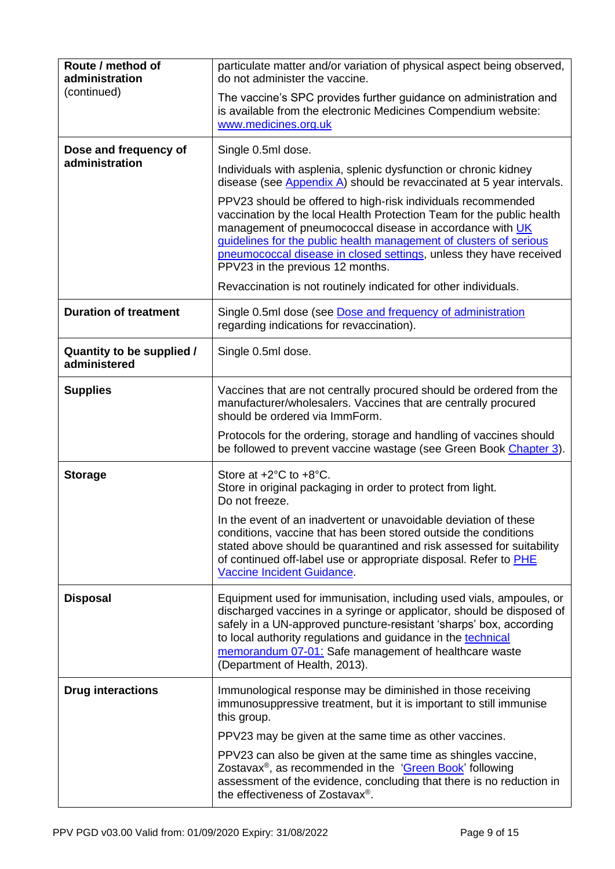<span id="page-8-0"></span>

| Route / method of<br>administration<br>(continued)<br>Dose and frequency of<br>administration | particulate matter and/or variation of physical aspect being observed,<br>do not administer the vaccine.<br>The vaccine's SPC provides further guidance on administration and<br>is available from the electronic Medicines Compendium website:<br>www.medicines.org.uk<br>Single 0.5ml dose.<br>Individuals with asplenia, splenic dysfunction or chronic kidney<br>disease (see Appendix A) should be revaccinated at 5 year intervals.<br>PPV23 should be offered to high-risk individuals recommended<br>vaccination by the local Health Protection Team for the public health |
|-----------------------------------------------------------------------------------------------|------------------------------------------------------------------------------------------------------------------------------------------------------------------------------------------------------------------------------------------------------------------------------------------------------------------------------------------------------------------------------------------------------------------------------------------------------------------------------------------------------------------------------------------------------------------------------------|
|                                                                                               | management of pneumococcal disease in accordance with UK<br>guidelines for the public health management of clusters of serious<br>pneumococcal disease in closed settings, unless they have received<br>PPV23 in the previous 12 months.<br>Revaccination is not routinely indicated for other individuals.                                                                                                                                                                                                                                                                        |
| <b>Duration of treatment</b>                                                                  | Single 0.5ml dose (see Dose and frequency of administration<br>regarding indications for revaccination).                                                                                                                                                                                                                                                                                                                                                                                                                                                                           |
| Quantity to be supplied /<br>administered                                                     | Single 0.5ml dose.                                                                                                                                                                                                                                                                                                                                                                                                                                                                                                                                                                 |
| <b>Supplies</b>                                                                               | Vaccines that are not centrally procured should be ordered from the<br>manufacturer/wholesalers. Vaccines that are centrally procured<br>should be ordered via ImmForm.                                                                                                                                                                                                                                                                                                                                                                                                            |
|                                                                                               | Protocols for the ordering, storage and handling of vaccines should<br>be followed to prevent vaccine wastage (see Green Book Chapter 3).                                                                                                                                                                                                                                                                                                                                                                                                                                          |
| <b>Storage</b>                                                                                | Store at $+2^{\circ}$ C to $+8^{\circ}$ C.<br>Store in original packaging in order to protect from light.<br>Do not freeze.<br>In the event of an inadvertent or unavoidable deviation of these                                                                                                                                                                                                                                                                                                                                                                                    |
|                                                                                               | conditions, vaccine that has been stored outside the conditions<br>stated above should be quarantined and risk assessed for suitability<br>of continued off-label use or appropriate disposal. Refer to PHE<br>Vaccine Incident Guidance.                                                                                                                                                                                                                                                                                                                                          |
| <b>Disposal</b>                                                                               | Equipment used for immunisation, including used vials, ampoules, or<br>discharged vaccines in a syringe or applicator, should be disposed of<br>safely in a UN-approved puncture-resistant 'sharps' box, according<br>to local authority regulations and guidance in the technical<br>memorandum 07-01: Safe management of healthcare waste<br>(Department of Health, 2013).                                                                                                                                                                                                       |
| <b>Drug interactions</b>                                                                      | Immunological response may be diminished in those receiving<br>immunosuppressive treatment, but it is important to still immunise<br>this group.                                                                                                                                                                                                                                                                                                                                                                                                                                   |
|                                                                                               | PPV23 may be given at the same time as other vaccines.                                                                                                                                                                                                                                                                                                                                                                                                                                                                                                                             |
|                                                                                               | PPV23 can also be given at the same time as shingles vaccine,<br>Zostavax <sup>®</sup> , as recommended in the 'Green Book' following<br>assessment of the evidence, concluding that there is no reduction in<br>the effectiveness of Zostavax <sup>®</sup> .                                                                                                                                                                                                                                                                                                                      |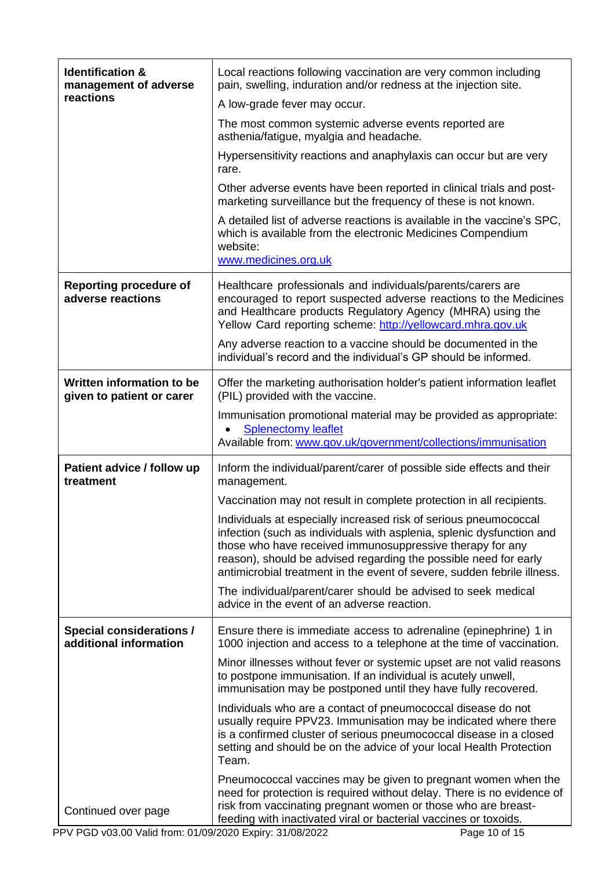| <b>Identification &amp;</b><br>management of adverse      | Local reactions following vaccination are very common including<br>pain, swelling, induration and/or redness at the injection site.                                                                                                                                                                                                                   |
|-----------------------------------------------------------|-------------------------------------------------------------------------------------------------------------------------------------------------------------------------------------------------------------------------------------------------------------------------------------------------------------------------------------------------------|
| reactions                                                 | A low-grade fever may occur.                                                                                                                                                                                                                                                                                                                          |
|                                                           | The most common systemic adverse events reported are<br>asthenia/fatigue, myalgia and headache.                                                                                                                                                                                                                                                       |
|                                                           | Hypersensitivity reactions and anaphylaxis can occur but are very<br>rare.                                                                                                                                                                                                                                                                            |
|                                                           | Other adverse events have been reported in clinical trials and post-<br>marketing surveillance but the frequency of these is not known.                                                                                                                                                                                                               |
|                                                           | A detailed list of adverse reactions is available in the vaccine's SPC,<br>which is available from the electronic Medicines Compendium<br>website:                                                                                                                                                                                                    |
|                                                           | www.medicines.org.uk                                                                                                                                                                                                                                                                                                                                  |
| <b>Reporting procedure of</b><br>adverse reactions        | Healthcare professionals and individuals/parents/carers are<br>encouraged to report suspected adverse reactions to the Medicines<br>and Healthcare products Regulatory Agency (MHRA) using the<br>Yellow Card reporting scheme: http://yellowcard.mhra.gov.uk                                                                                         |
|                                                           | Any adverse reaction to a vaccine should be documented in the<br>individual's record and the individual's GP should be informed.                                                                                                                                                                                                                      |
| Written information to be<br>given to patient or carer    | Offer the marketing authorisation holder's patient information leaflet<br>(PIL) provided with the vaccine.                                                                                                                                                                                                                                            |
|                                                           | Immunisation promotional material may be provided as appropriate:<br><b>Splenectomy leaflet</b><br>Available from: www.gov.uk/government/collections/immunisation                                                                                                                                                                                     |
| Patient advice / follow up<br>treatment                   | Inform the individual/parent/carer of possible side effects and their<br>management.                                                                                                                                                                                                                                                                  |
|                                                           | Vaccination may not result in complete protection in all recipients.                                                                                                                                                                                                                                                                                  |
|                                                           | Individuals at especially increased risk of serious pneumococcal<br>infection (such as individuals with asplenia, splenic dysfunction and<br>those who have received immunosuppressive therapy for any<br>reason), should be advised regarding the possible need for early<br>antimicrobial treatment in the event of severe, sudden febrile illness. |
|                                                           | The individual/parent/carer should be advised to seek medical<br>advice in the event of an adverse reaction.                                                                                                                                                                                                                                          |
| <b>Special considerations /</b><br>additional information | Ensure there is immediate access to adrenaline (epinephrine) 1 in<br>1000 injection and access to a telephone at the time of vaccination.                                                                                                                                                                                                             |
|                                                           | Minor illnesses without fever or systemic upset are not valid reasons<br>to postpone immunisation. If an individual is acutely unwell,<br>immunisation may be postponed until they have fully recovered.                                                                                                                                              |
|                                                           | Individuals who are a contact of pneumococcal disease do not<br>usually require PPV23. Immunisation may be indicated where there<br>is a confirmed cluster of serious pneumococcal disease in a closed<br>setting and should be on the advice of your local Health Protection<br>Team.                                                                |
| Continued over page                                       | Pneumococcal vaccines may be given to pregnant women when the<br>need for protection is required without delay. There is no evidence of<br>risk from vaccinating pregnant women or those who are breast-<br>feeding with inactivated viral or bacterial vaccines or toxoids.                                                                          |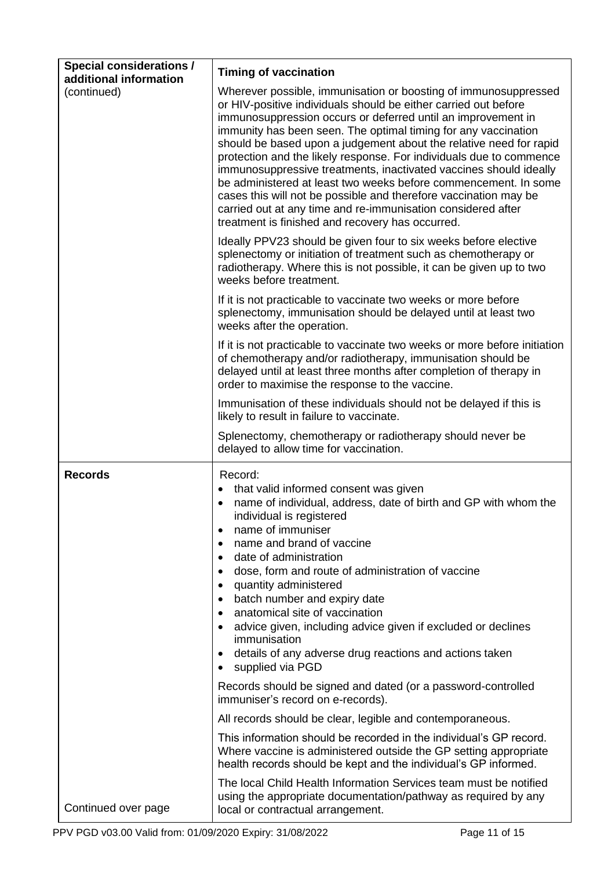<span id="page-10-0"></span>

| <b>Special considerations /</b><br>additional information | <b>Timing of vaccination</b>                                                                                                                                                                                                                                                                                                                                                                                                                                                                                                                                                                                                                                                                                                                      |  |
|-----------------------------------------------------------|---------------------------------------------------------------------------------------------------------------------------------------------------------------------------------------------------------------------------------------------------------------------------------------------------------------------------------------------------------------------------------------------------------------------------------------------------------------------------------------------------------------------------------------------------------------------------------------------------------------------------------------------------------------------------------------------------------------------------------------------------|--|
| (continued)                                               | Wherever possible, immunisation or boosting of immunosuppressed<br>or HIV-positive individuals should be either carried out before<br>immunosuppression occurs or deferred until an improvement in<br>immunity has been seen. The optimal timing for any vaccination<br>should be based upon a judgement about the relative need for rapid<br>protection and the likely response. For individuals due to commence<br>immunosuppressive treatments, inactivated vaccines should ideally<br>be administered at least two weeks before commencement. In some<br>cases this will not be possible and therefore vaccination may be<br>carried out at any time and re-immunisation considered after<br>treatment is finished and recovery has occurred. |  |
|                                                           | Ideally PPV23 should be given four to six weeks before elective<br>splenectomy or initiation of treatment such as chemotherapy or<br>radiotherapy. Where this is not possible, it can be given up to two<br>weeks before treatment.                                                                                                                                                                                                                                                                                                                                                                                                                                                                                                               |  |
|                                                           | If it is not practicable to vaccinate two weeks or more before<br>splenectomy, immunisation should be delayed until at least two<br>weeks after the operation.                                                                                                                                                                                                                                                                                                                                                                                                                                                                                                                                                                                    |  |
|                                                           | If it is not practicable to vaccinate two weeks or more before initiation<br>of chemotherapy and/or radiotherapy, immunisation should be<br>delayed until at least three months after completion of therapy in<br>order to maximise the response to the vaccine.                                                                                                                                                                                                                                                                                                                                                                                                                                                                                  |  |
|                                                           | Immunisation of these individuals should not be delayed if this is<br>likely to result in failure to vaccinate.                                                                                                                                                                                                                                                                                                                                                                                                                                                                                                                                                                                                                                   |  |
|                                                           | Splenectomy, chemotherapy or radiotherapy should never be<br>delayed to allow time for vaccination.                                                                                                                                                                                                                                                                                                                                                                                                                                                                                                                                                                                                                                               |  |
| <b>Records</b>                                            | Record:<br>that valid informed consent was given<br>$\bullet$<br>name of individual, address, date of birth and GP with whom the<br>$\bullet$<br>individual is registered<br>name of immuniser<br>$\bullet$<br>name and brand of vaccine<br>٠<br>date of administration<br>٠<br>dose, form and route of administration of vaccine<br>٠<br>quantity administered<br>٠<br>batch number and expiry date<br>$\bullet$<br>anatomical site of vaccination<br>$\bullet$<br>advice given, including advice given if excluded or declines<br>$\bullet$<br>immunisation<br>details of any adverse drug reactions and actions taken<br>$\bullet$<br>supplied via PGD<br>٠                                                                                    |  |
|                                                           | Records should be signed and dated (or a password-controlled<br>immuniser's record on e-records).                                                                                                                                                                                                                                                                                                                                                                                                                                                                                                                                                                                                                                                 |  |
|                                                           | All records should be clear, legible and contemporaneous.                                                                                                                                                                                                                                                                                                                                                                                                                                                                                                                                                                                                                                                                                         |  |
|                                                           | This information should be recorded in the individual's GP record.<br>Where vaccine is administered outside the GP setting appropriate<br>health records should be kept and the individual's GP informed.                                                                                                                                                                                                                                                                                                                                                                                                                                                                                                                                         |  |
| Continued over page                                       | The local Child Health Information Services team must be notified<br>using the appropriate documentation/pathway as required by any<br>local or contractual arrangement.                                                                                                                                                                                                                                                                                                                                                                                                                                                                                                                                                                          |  |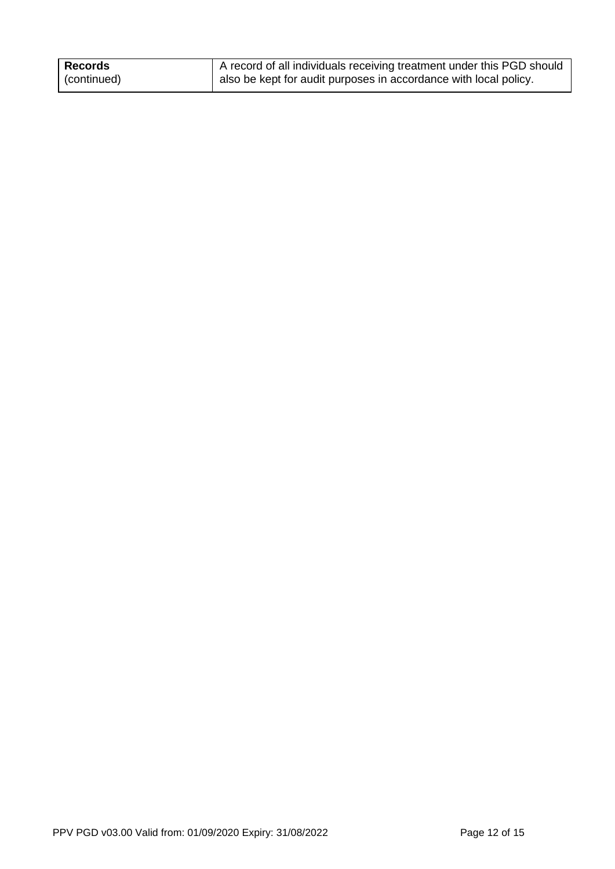| Records     | A record of all individuals receiving treatment under this PGD should |
|-------------|-----------------------------------------------------------------------|
| (continued) | also be kept for audit purposes in accordance with local policy.      |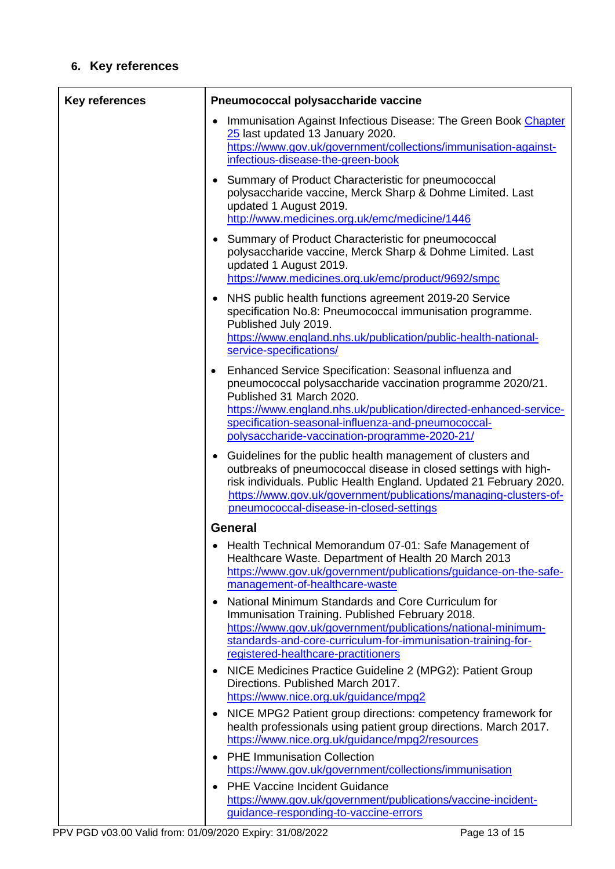## **6. Key references**

| <b>Key references</b> | Pneumococcal polysaccharide vaccine                                                                                                                                                                                                                                                                                                       |  |
|-----------------------|-------------------------------------------------------------------------------------------------------------------------------------------------------------------------------------------------------------------------------------------------------------------------------------------------------------------------------------------|--|
|                       | Immunisation Against Infectious Disease: The Green Book Chapter<br>25 last updated 13 January 2020.<br>https://www.gov.uk/government/collections/immunisation-against-<br>infectious-disease-the-green-book                                                                                                                               |  |
|                       | • Summary of Product Characteristic for pneumococcal<br>polysaccharide vaccine, Merck Sharp & Dohme Limited. Last<br>updated 1 August 2019.<br>http://www.medicines.org.uk/emc/medicine/1446                                                                                                                                              |  |
|                       | • Summary of Product Characteristic for pneumococcal<br>polysaccharide vaccine, Merck Sharp & Dohme Limited. Last<br>updated 1 August 2019.<br>https://www.medicines.org.uk/emc/product/9692/smpc                                                                                                                                         |  |
|                       | NHS public health functions agreement 2019-20 Service<br>specification No.8: Pneumococcal immunisation programme.<br>Published July 2019.<br>https://www.england.nhs.uk/publication/public-health-national-<br>service-specifications/                                                                                                    |  |
|                       | Enhanced Service Specification: Seasonal influenza and<br>$\bullet$<br>pneumococcal polysaccharide vaccination programme 2020/21.<br>Published 31 March 2020.<br>https://www.england.nhs.uk/publication/directed-enhanced-service-<br>specification-seasonal-influenza-and-pneumococcal-<br>polysaccharide-vaccination-programme-2020-21/ |  |
|                       | Guidelines for the public health management of clusters and<br>outbreaks of pneumococcal disease in closed settings with high-<br>risk individuals. Public Health England. Updated 21 February 2020.<br>https://www.gov.uk/government/publications/managing-clusters-of-<br>pneumococcal-disease-in-closed-settings                       |  |
|                       | <b>General</b>                                                                                                                                                                                                                                                                                                                            |  |
|                       | Health Technical Memorandum 07-01: Safe Management of<br>Healthcare Waste. Department of Health 20 March 2013<br>https://www.gov.uk/government/publications/guidance-on-the-safe-<br>management-of-healthcare-waste                                                                                                                       |  |
|                       | National Minimum Standards and Core Curriculum for<br>Immunisation Training. Published February 2018.<br>https://www.gov.uk/government/publications/national-minimum-<br>standards-and-core-curriculum-for-immunisation-training-for-                                                                                                     |  |
|                       | registered-healthcare-practitioners<br>NICE Medicines Practice Guideline 2 (MPG2): Patient Group                                                                                                                                                                                                                                          |  |
|                       | Directions. Published March 2017.<br>https://www.nice.org.uk/guidance/mpg2                                                                                                                                                                                                                                                                |  |
|                       | NICE MPG2 Patient group directions: competency framework for                                                                                                                                                                                                                                                                              |  |
|                       | health professionals using patient group directions. March 2017.<br>https://www.nice.org.uk/guidance/mpg2/resources                                                                                                                                                                                                                       |  |
|                       | <b>PHE Immunisation Collection</b><br>https://www.gov.uk/government/collections/immunisation                                                                                                                                                                                                                                              |  |
|                       | <b>PHE Vaccine Incident Guidance</b><br>https://www.gov.uk/government/publications/vaccine-incident-<br>guidance-responding-to-vaccine-errors                                                                                                                                                                                             |  |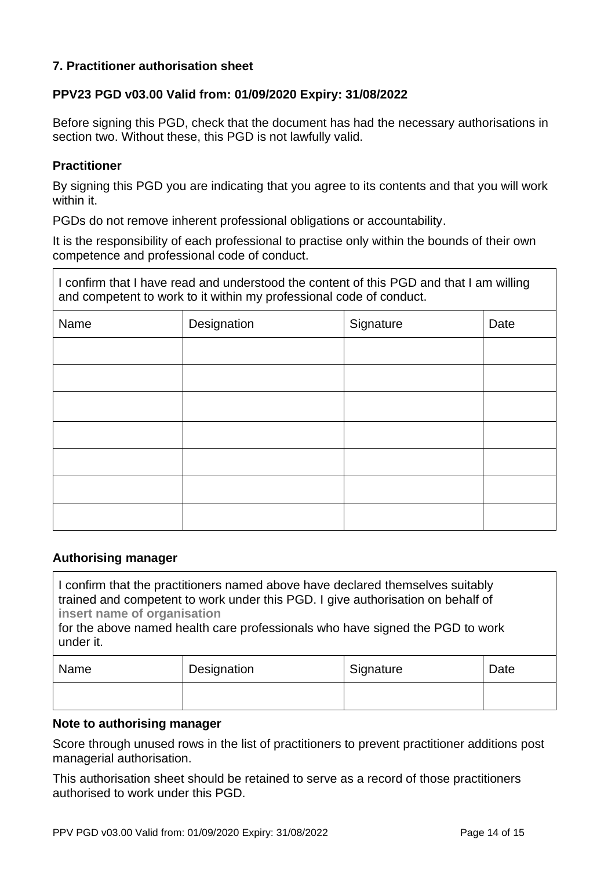#### **7. Practitioner authorisation sheet**

#### **PPV23 PGD v03.00 Valid from: 01/09/2020 Expiry: 31/08/2022**

Before signing this PGD, check that the document has had the necessary authorisations in section two. Without these, this PGD is not lawfully valid.

#### **Practitioner**

By signing this PGD you are indicating that you agree to its contents and that you will work within it.

PGDs do not remove inherent professional obligations or accountability.

It is the responsibility of each professional to practise only within the bounds of their own competence and professional code of conduct.

I confirm that I have read and understood the content of this PGD and that I am willing and competent to work to it within my professional code of conduct.

| Name | Designation | Signature | Date |
|------|-------------|-----------|------|
|      |             |           |      |
|      |             |           |      |
|      |             |           |      |
|      |             |           |      |
|      |             |           |      |
|      |             |           |      |
|      |             |           |      |

#### **Authorising manager**

I confirm that the practitioners named above have declared themselves suitably trained and competent to work under this PGD. I give authorisation on behalf of **insert name of organisation** 

for the above named health care professionals who have signed the PGD to work under it.

| Name | Designation | Signature | Date |
|------|-------------|-----------|------|
|      |             |           |      |

#### **Note to authorising manager**

Score through unused rows in the list of practitioners to prevent practitioner additions post managerial authorisation.

This authorisation sheet should be retained to serve as a record of those practitioners authorised to work under this PGD.